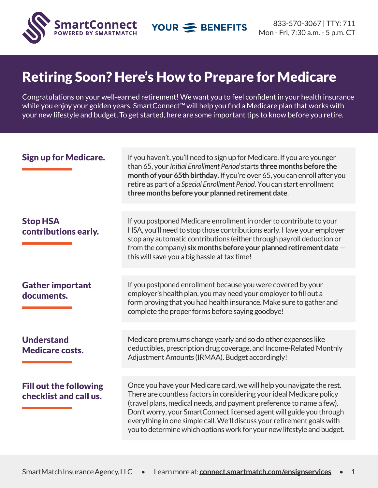

## Retiring Soon? Here's How to Prepare for Medicare

Congratulations on your well-earned retirement! We want you to feel confident in your health insurance while you enjoy your golden years. SmartConnect™ will help you find a Medicare plan that works with your new lifestyle and budget. To get started, here are some important tips to know before you retire.

| <b>Sign up for Medicare.</b>                            | If you haven't, you'll need to sign up for Medicare. If you are younger<br>than 65, your Initial Enrollment Period starts three months before the<br>month of your 65th birthday. If you're over 65, you can enroll after you<br>retire as part of a Special Enrollment Period. You can start enrollment<br>three months before your planned retirement date.                                                                                       |  |  |
|---------------------------------------------------------|-----------------------------------------------------------------------------------------------------------------------------------------------------------------------------------------------------------------------------------------------------------------------------------------------------------------------------------------------------------------------------------------------------------------------------------------------------|--|--|
| <b>Stop HSA</b><br>contributions early.                 | If you postponed Medicare enrollment in order to contribute to your<br>HSA, you'll need to stop those contributions early. Have your employer<br>stop any automatic contributions (either through payroll deduction or<br>from the company) six months before your planned retirement date $-$<br>this will save you a big hassle at tax time!                                                                                                      |  |  |
| <b>Gather important</b><br>documents.                   | If you postponed enrollment because you were covered by your<br>employer's health plan, you may need your employer to fill out a<br>form proving that you had health insurance. Make sure to gather and<br>complete the proper forms before saying goodbye!                                                                                                                                                                                         |  |  |
| <b>Understand</b><br><b>Medicare costs.</b>             | Medicare premiums change yearly and so do other expenses like<br>deductibles, prescription drug coverage, and Income-Related Monthly<br>Adjustment Amounts (IRMAA). Budget accordingly!                                                                                                                                                                                                                                                             |  |  |
| <b>Fill out the following</b><br>checklist and call us. | Once you have your Medicare card, we will help you navigate the rest.<br>There are countless factors in considering your ideal Medicare policy<br>(travel plans, medical needs, and payment preference to name a few).<br>Don't worry, your SmartConnect licensed agent will guide you through<br>everything in one simple call. We'll discuss your retirement goals with<br>you to determine which options work for your new lifestyle and budget. |  |  |